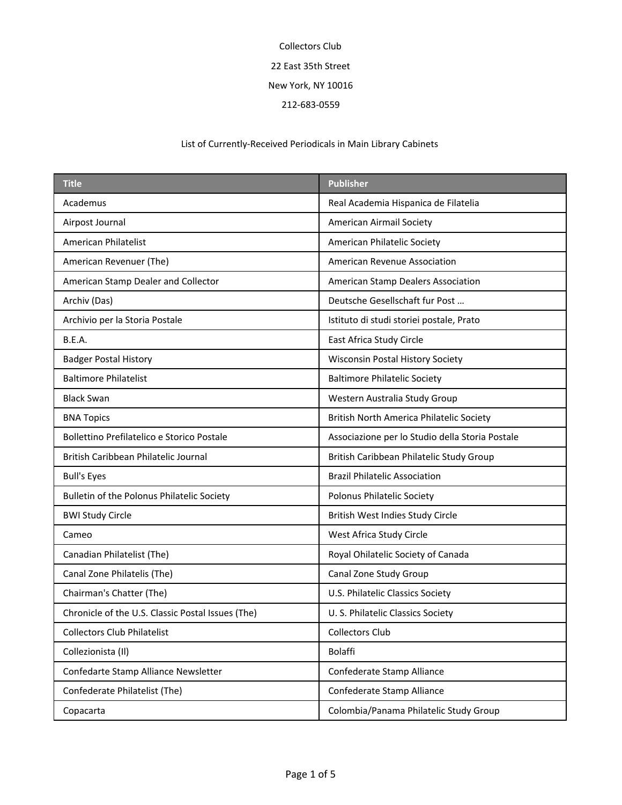| <b>Title</b>                                      | <b>Publisher</b>                                |
|---------------------------------------------------|-------------------------------------------------|
| Academus                                          | Real Academia Hispanica de Filatelia            |
| Airpost Journal                                   | <b>American Airmail Society</b>                 |
| American Philatelist                              | American Philatelic Society                     |
| American Revenuer (The)                           | <b>American Revenue Association</b>             |
| American Stamp Dealer and Collector               | American Stamp Dealers Association              |
| Archiv (Das)                                      | Deutsche Gesellschaft fur Post                  |
| Archivio per la Storia Postale                    | Istituto di studi storiei postale, Prato        |
| <b>B.E.A.</b>                                     | East Africa Study Circle                        |
| <b>Badger Postal History</b>                      | <b>Wisconsin Postal History Society</b>         |
| <b>Baltimore Philatelist</b>                      | <b>Baltimore Philatelic Society</b>             |
| <b>Black Swan</b>                                 | Western Australia Study Group                   |
| <b>BNA Topics</b>                                 | <b>British North America Philatelic Society</b> |
| Bollettino Prefilatelico e Storico Postale        | Associazione per lo Studio della Storia Postale |
| British Caribbean Philatelic Journal              | British Caribbean Philatelic Study Group        |
| <b>Bull's Eyes</b>                                | <b>Brazil Philatelic Association</b>            |
| Bulletin of the Polonus Philatelic Society        | Polonus Philatelic Society                      |
| <b>BWI Study Circle</b>                           | British West Indies Study Circle                |
| Cameo                                             | West Africa Study Circle                        |
| Canadian Philatelist (The)                        | Royal Ohilatelic Society of Canada              |
| Canal Zone Philatelis (The)                       | Canal Zone Study Group                          |
| Chairman's Chatter (The)                          | U.S. Philatelic Classics Society                |
| Chronicle of the U.S. Classic Postal Issues (The) | U.S. Philatelic Classics Society                |
| <b>Collectors Club Philatelist</b>                | <b>Collectors Club</b>                          |
| Collezionista (II)                                | <b>Bolaffi</b>                                  |
| Confedarte Stamp Alliance Newsletter              | Confederate Stamp Alliance                      |
| Confederate Philatelist (The)                     | Confederate Stamp Alliance                      |
| Copacarta                                         | Colombia/Panama Philatelic Study Group          |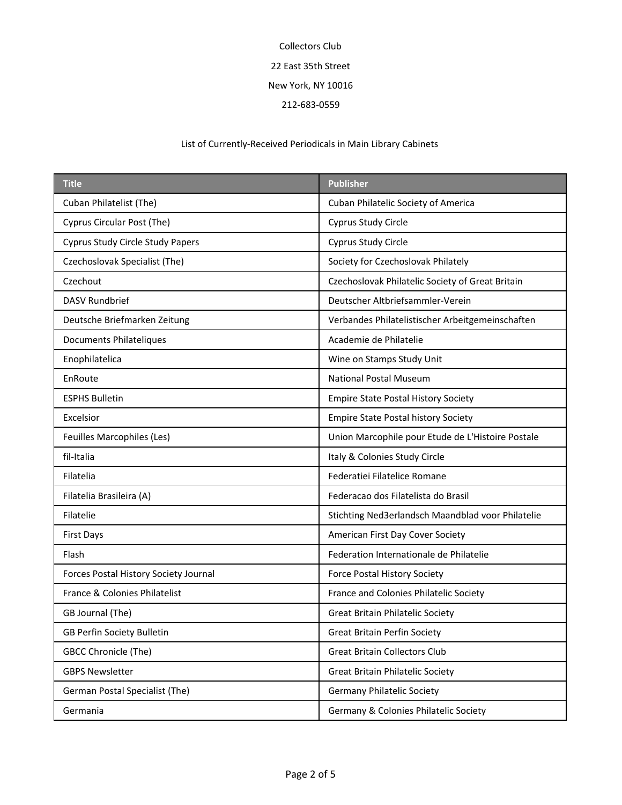| <b>Title</b>                          | <b>Publisher</b>                                  |
|---------------------------------------|---------------------------------------------------|
| Cuban Philatelist (The)               | Cuban Philatelic Society of America               |
| Cyprus Circular Post (The)            | Cyprus Study Circle                               |
| Cyprus Study Circle Study Papers      | Cyprus Study Circle                               |
| Czechoslovak Specialist (The)         | Society for Czechoslovak Philately                |
| Czechout                              | Czechoslovak Philatelic Society of Great Britain  |
| <b>DASV Rundbrief</b>                 | Deutscher Altbriefsammler-Verein                  |
| Deutsche Briefmarken Zeitung          | Verbandes Philatelistischer Arbeitgemeinschaften  |
| Documents Philateliques               | Academie de Philatelie                            |
| Enophilatelica                        | Wine on Stamps Study Unit                         |
| EnRoute                               | <b>National Postal Museum</b>                     |
| <b>ESPHS Bulletin</b>                 | <b>Empire State Postal History Society</b>        |
| Excelsior                             | <b>Empire State Postal history Society</b>        |
| Feuilles Marcophiles (Les)            | Union Marcophile pour Etude de L'Histoire Postale |
| fil-Italia                            | Italy & Colonies Study Circle                     |
| Filatelia                             | Federatiei Filatelice Romane                      |
| Filatelia Brasileira (A)              | Federacao dos Filatelista do Brasil               |
| Filatelie                             | Stichting Ned3erlandsch Maandblad voor Philatelie |
| <b>First Days</b>                     | American First Day Cover Society                  |
| Flash                                 | Federation Internationale de Philatelie           |
| Forces Postal History Society Journal | <b>Force Postal History Society</b>               |
| France & Colonies Philatelist         | France and Colonies Philatelic Society            |
| GB Journal (The)                      | <b>Great Britain Philatelic Society</b>           |
| GB Perfin Society Bulletin            | <b>Great Britain Perfin Society</b>               |
| <b>GBCC Chronicle (The)</b>           | <b>Great Britain Collectors Club</b>              |
| <b>GBPS Newsletter</b>                | <b>Great Britain Philatelic Society</b>           |
| German Postal Specialist (The)        | <b>Germany Philatelic Society</b>                 |
| Germania                              | Germany & Colonies Philatelic Society             |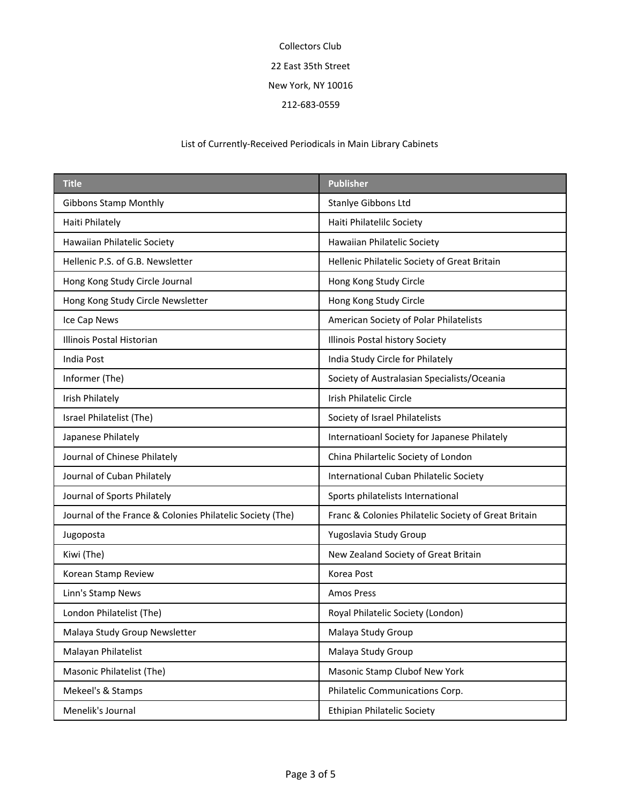| <b>Title</b>                                              | <b>Publisher</b>                                     |
|-----------------------------------------------------------|------------------------------------------------------|
| <b>Gibbons Stamp Monthly</b>                              | Stanlye Gibbons Ltd                                  |
| Haiti Philately                                           | Haiti Philatelilc Society                            |
| Hawaiian Philatelic Society                               | Hawaiian Philatelic Society                          |
| Hellenic P.S. of G.B. Newsletter                          | Hellenic Philatelic Society of Great Britain         |
| Hong Kong Study Circle Journal                            | Hong Kong Study Circle                               |
| Hong Kong Study Circle Newsletter                         | Hong Kong Study Circle                               |
| Ice Cap News                                              | American Society of Polar Philatelists               |
| Illinois Postal Historian                                 | Illinois Postal history Society                      |
| India Post                                                | India Study Circle for Philately                     |
| Informer (The)                                            | Society of Australasian Specialists/Oceania          |
| <b>Irish Philately</b>                                    | Irish Philatelic Circle                              |
| Israel Philatelist (The)                                  | Society of Israel Philatelists                       |
| Japanese Philately                                        | Internatioanl Society for Japanese Philately         |
| Journal of Chinese Philately                              | China Philartelic Society of London                  |
| Journal of Cuban Philately                                | International Cuban Philatelic Society               |
| Journal of Sports Philately                               | Sports philatelists International                    |
| Journal of the France & Colonies Philatelic Society (The) | Franc & Colonies Philatelic Society of Great Britain |
| Jugoposta                                                 | Yugoslavia Study Group                               |
| Kiwi (The)                                                | New Zealand Society of Great Britain                 |
| Korean Stamp Review                                       | Korea Post                                           |
| Linn's Stamp News                                         | <b>Amos Press</b>                                    |
| London Philatelist (The)                                  | Royal Philatelic Society (London)                    |
| Malaya Study Group Newsletter                             | Malaya Study Group                                   |
| Malayan Philatelist                                       | Malaya Study Group                                   |
| Masonic Philatelist (The)                                 | Masonic Stamp Clubof New York                        |
| Mekeel's & Stamps                                         | Philatelic Communications Corp.                      |
| Menelik's Journal                                         | <b>Ethipian Philatelic Society</b>                   |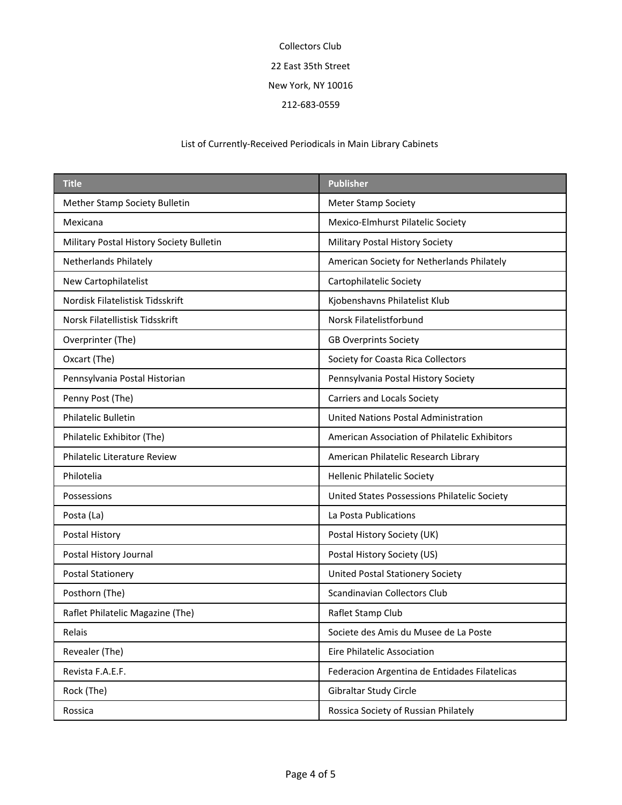| <b>Title</b>                             | <b>Publisher</b>                              |
|------------------------------------------|-----------------------------------------------|
| Mether Stamp Society Bulletin            | <b>Meter Stamp Society</b>                    |
| Mexicana                                 | Mexico-Elmhurst Pilatelic Society             |
| Military Postal History Society Bulletin | Military Postal History Society               |
| Netherlands Philately                    | American Society for Netherlands Philately    |
| New Cartophilatelist                     | Cartophilatelic Society                       |
| Nordisk Filatelistisk Tidsskrift         | Kjobenshavns Philatelist Klub                 |
| Norsk Filatellistisk Tidsskrift          | Norsk Filatelistforbund                       |
| Overprinter (The)                        | <b>GB Overprints Society</b>                  |
| Oxcart (The)                             | Society for Coasta Rica Collectors            |
| Pennsylvania Postal Historian            | Pennsylvania Postal History Society           |
| Penny Post (The)                         | Carriers and Locals Society                   |
| <b>Philatelic Bulletin</b>               | United Nations Postal Administration          |
| Philatelic Exhibitor (The)               | American Association of Philatelic Exhibitors |
| <b>Philatelic Literature Review</b>      | American Philatelic Research Library          |
| Philotelia                               | <b>Hellenic Philatelic Society</b>            |
| Possessions                              | United States Possessions Philatelic Society  |
| Posta (La)                               | La Posta Publications                         |
| Postal History                           | Postal History Society (UK)                   |
| Postal History Journal                   | Postal History Society (US)                   |
| Postal Stationery                        | <b>United Postal Stationery Society</b>       |
| Posthorn (The)                           | Scandinavian Collectors Club                  |
| Raflet Philatelic Magazine (The)         | Raflet Stamp Club                             |
| Relais                                   | Societe des Amis du Musee de La Poste         |
| Revealer (The)                           | Eire Philatelic Association                   |
| Revista F.A.E.F.                         | Federacion Argentina de Entidades Filatelicas |
| Rock (The)                               | Gibraltar Study Circle                        |
| Rossica                                  | Rossica Society of Russian Philately          |